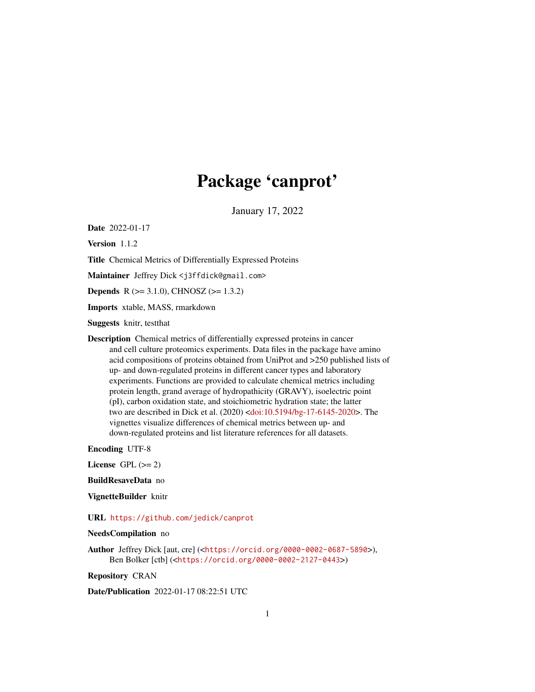# Package 'canprot'

January 17, 2022

<span id="page-0-0"></span>Date 2022-01-17

Version 1.1.2

Title Chemical Metrics of Differentially Expressed Proteins

Maintainer Jeffrey Dick <j3ffdick@gmail.com>

**Depends** R ( $>= 3.1.0$ ), CHNOSZ ( $>= 1.3.2$ )

Imports xtable, MASS, rmarkdown

Suggests knitr, testthat

Description Chemical metrics of differentially expressed proteins in cancer and cell culture proteomics experiments. Data files in the package have amino acid compositions of proteins obtained from UniProt and >250 published lists of up- and down-regulated proteins in different cancer types and laboratory experiments. Functions are provided to calculate chemical metrics including protein length, grand average of hydropathicity (GRAVY), isoelectric point (pI), carbon oxidation state, and stoichiometric hydration state; the latter two are described in Dick et al. (2020) [<doi:10.5194/bg-17-6145-2020>](https://doi.org/10.5194/bg-17-6145-2020). The vignettes visualize differences of chemical metrics between up- and down-regulated proteins and list literature references for all datasets.

Encoding UTF-8

License GPL  $(>= 2)$ 

BuildResaveData no

VignetteBuilder knitr

URL <https://github.com/jedick/canprot>

NeedsCompilation no

Author Jeffrey Dick [aut, cre] (<<https://orcid.org/0000-0002-0687-5890>>), Ben Bolker [ctb] (<<https://orcid.org/0000-0002-2127-0443>>)

Repository CRAN

Date/Publication 2022-01-17 08:22:51 UTC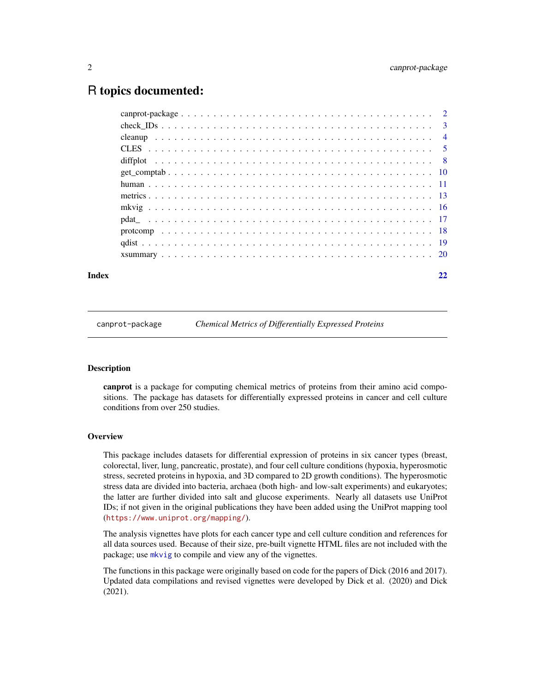# <span id="page-1-0"></span>R topics documented:

#### **Index** [22](#page-21-0)

canprot-package *Chemical Metrics of Differentially Expressed Proteins*

# Description

canprot is a package for computing chemical metrics of proteins from their amino acid compositions. The package has datasets for differentially expressed proteins in cancer and cell culture conditions from over 250 studies.

#### **Overview**

This package includes datasets for differential expression of proteins in six cancer types (breast, colorectal, liver, lung, pancreatic, prostate), and four cell culture conditions (hypoxia, hyperosmotic stress, secreted proteins in hypoxia, and 3D compared to 2D growth conditions). The hyperosmotic stress data are divided into bacteria, archaea (both high- and low-salt experiments) and eukaryotes; the latter are further divided into salt and glucose experiments. Nearly all datasets use UniProt IDs; if not given in the original publications they have been added using the UniProt mapping tool (<https://www.uniprot.org/mapping/>).

The analysis vignettes have plots for each cancer type and cell culture condition and references for all data sources used. Because of their size, pre-built vignette HTML files are not included with the package; use [mkvig](#page-15-1) to compile and view any of the vignettes.

The functions in this package were originally based on code for the papers of Dick (2016 and 2017). Updated data compilations and revised vignettes were developed by Dick et al. (2020) and Dick (2021).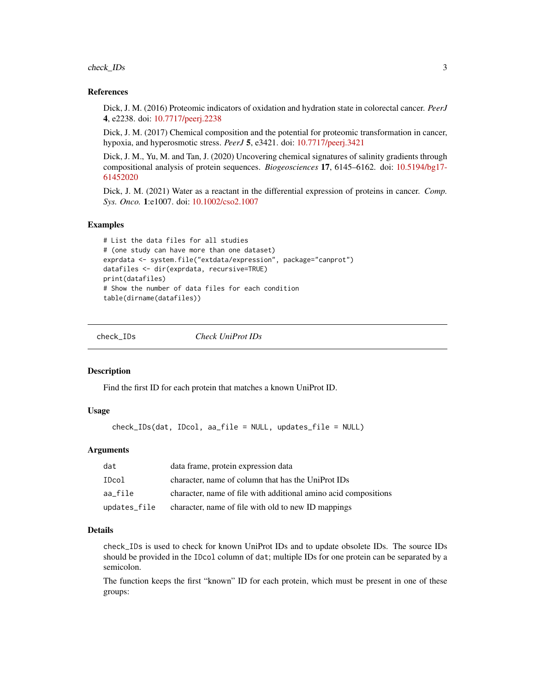<span id="page-2-0"></span>check\_IDs 3

#### References

Dick, J. M. (2016) Proteomic indicators of oxidation and hydration state in colorectal cancer. *PeerJ* 4, e2238. doi: [10.7717/peerj.2238](https://doi.org/10.7717/peerj.2238)

Dick, J. M. (2017) Chemical composition and the potential for proteomic transformation in cancer, hypoxia, and hyperosmotic stress. *PeerJ* 5, e3421. doi: [10.7717/peerj.3421](https://doi.org/10.7717/peerj.3421)

Dick, J. M., Yu, M. and Tan, J. (2020) Uncovering chemical signatures of salinity gradients through compositional analysis of protein sequences. *Biogeosciences* 17, 6145–6162. doi: [10.5194/bg17-](https://doi.org/10.5194/bg-17-6145-2020) [61452020](https://doi.org/10.5194/bg-17-6145-2020)

Dick, J. M. (2021) Water as a reactant in the differential expression of proteins in cancer. *Comp. Sys. Onco.* 1:e1007. doi: [10.1002/cso2.1007](https://doi.org/10.1002/cso2.1007)

#### Examples

```
# List the data files for all studies
# (one study can have more than one dataset)
exprdata <- system.file("extdata/expression", package="canprot")
datafiles <- dir(exprdata, recursive=TRUE)
print(datafiles)
# Show the number of data files for each condition
table(dirname(datafiles))
```
<span id="page-2-1"></span>

check\_IDs *Check UniProt IDs*

#### Description

Find the first ID for each protein that matches a known UniProt ID.

#### Usage

```
check_IDs(dat, IDcol, aa_file = NULL, updates_file = NULL)
```
### Arguments

| dat          | data frame, protein expression data                             |
|--------------|-----------------------------------------------------------------|
| IDcol        | character, name of column that has the UniProt IDs              |
| aa file      | character, name of file with additional amino acid compositions |
| updates_file | character, name of file with old to new ID mappings             |

#### Details

check\_IDs is used to check for known UniProt IDs and to update obsolete IDs. The source IDs should be provided in the IDcol column of dat; multiple IDs for one protein can be separated by a semicolon.

The function keeps the first "known" ID for each protein, which must be present in one of these groups: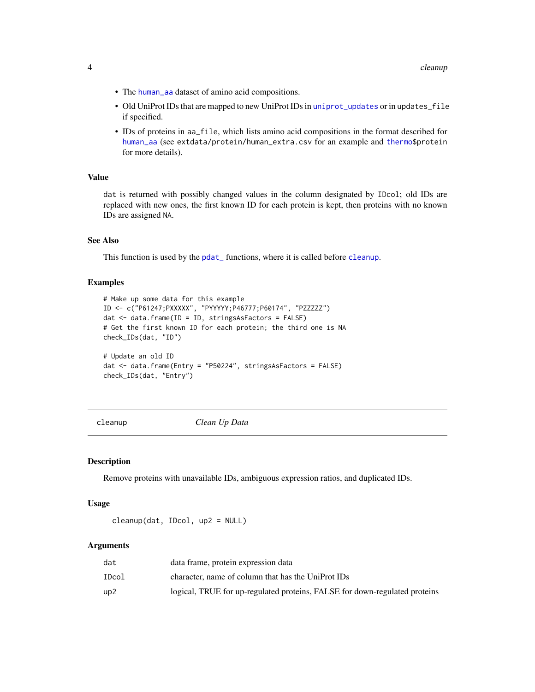- <span id="page-3-0"></span>• The [human\\_aa](#page-10-1) dataset of amino acid compositions.
- Old UniProt IDs that are mapped to new UniProt IDs in [uniprot\\_updates](#page-10-1) or in updates\_file if specified.
- IDs of proteins in aa\_file, which lists amino acid compositions in the format described for [human\\_aa](#page-10-1) (see extdata/protein/human\_extra.csv for an example and [thermo\\$](#page-0-0)protein for more details).

#### Value

dat is returned with possibly changed values in the column designated by IDcol; old IDs are replaced with new ones, the first known ID for each protein is kept, then proteins with no known IDs are assigned NA.

# See Also

This function is used by the pdat<sub>ri</sub> functions, where it is called before [cleanup](#page-3-1).

#### Examples

```
# Make up some data for this example
ID <- c("P61247;PXXXXX", "PYYYYY;P46777;P60174", "PZZZZZ")
dat <- data.frame(ID = ID, stringsAsFactors = FALSE)
# Get the first known ID for each protein; the third one is NA
check_IDs(dat, "ID")
# Update an old ID
dat <- data.frame(Entry = "P50224", stringsAsFactors = FALSE)
check_IDs(dat, "Entry")
```
<span id="page-3-1"></span>cleanup *Clean Up Data*

#### Description

Remove proteins with unavailable IDs, ambiguous expression ratios, and duplicated IDs.

#### Usage

```
cleanup(dat, IDcol, up2 = NULL)
```
#### Arguments

| dat   | data frame, protein expression data                                        |
|-------|----------------------------------------------------------------------------|
| IDcol | character, name of column that has the UniProt IDs                         |
| up2   | logical, TRUE for up-regulated proteins, FALSE for down-regulated proteins |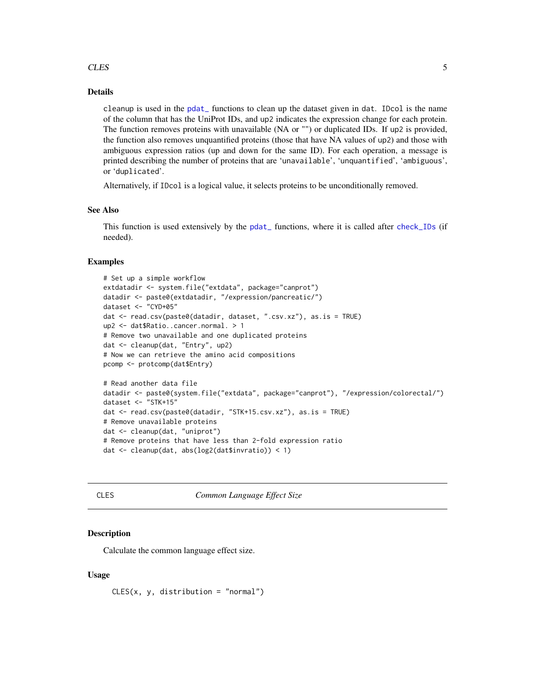#### <span id="page-4-0"></span>CLES 5

# Details

cleanup is used in the [pdat\\_](#page-16-1) functions to clean up the dataset given in dat. IDcol is the name of the column that has the UniProt IDs, and up2 indicates the expression change for each protein. The function removes proteins with unavailable (NA or "") or duplicated IDs. If up2 is provided, the function also removes unquantified proteins (those that have NA values of up2) and those with ambiguous expression ratios (up and down for the same ID). For each operation, a message is printed describing the number of proteins that are 'unavailable', 'unquantified', 'ambiguous', or 'duplicated'.

Alternatively, if IDcol is a logical value, it selects proteins to be unconditionally removed.

#### See Also

This function is used extensively by the [pdat\\_](#page-16-1) functions, where it is called after [check\\_IDs](#page-2-1) (if needed).

#### Examples

```
# Set up a simple workflow
extdatadir <- system.file("extdata", package="canprot")
datadir <- paste0(extdatadir, "/expression/pancreatic/")
dataset <- "CYD+05"
dat <- read.csv(paste0(datadir, dataset, ".csv.xz"), as.is = TRUE)
up2 <- dat$Ratio..cancer.normal. > 1
# Remove two unavailable and one duplicated proteins
dat <- cleanup(dat, "Entry", up2)
# Now we can retrieve the amino acid compositions
pcomp <- protcomp(dat$Entry)
# Read another data file
datadir <- paste0(system.file("extdata", package="canprot"), "/expression/colorectal/")
dataset <- "STK+15"
dat <- read.csv(paste0(datadir, "STK+15.csv.xz"), as.is = TRUE)
# Remove unavailable proteins
dat <- cleanup(dat, "uniprot")
# Remove proteins that have less than 2-fold expression ratio
dat <- cleanup(dat, abs(log2(dat$invratio)) < 1)
```
<span id="page-4-1"></span>

CLES *Common Language Effect Size*

#### Description

Calculate the common language effect size.

#### Usage

 $CLES(x, y, distribution = "normal")$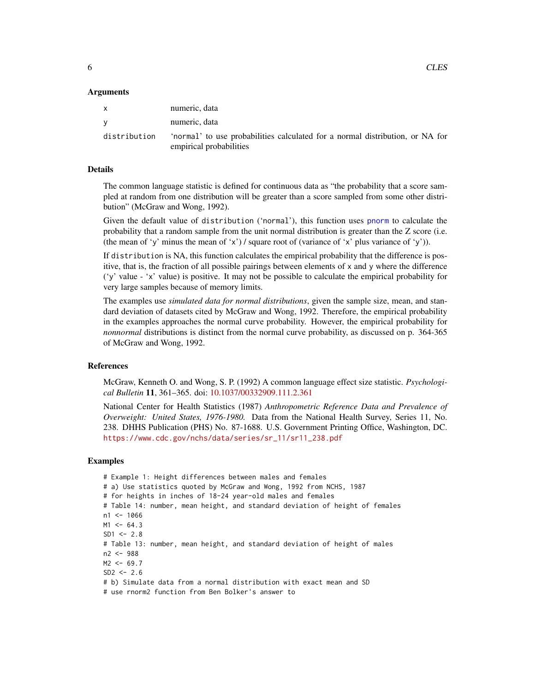#### <span id="page-5-0"></span>Arguments

|              | numeric, data                                                                 |
|--------------|-------------------------------------------------------------------------------|
| v            | numeric, data                                                                 |
| distribution | 'normal' to use probabilities calculated for a normal distribution, or NA for |
|              | empirical probabilities                                                       |

# Details

The common language statistic is defined for continuous data as "the probability that a score sampled at random from one distribution will be greater than a score sampled from some other distribution" (McGraw and Wong, 1992).

Given the default value of distribution ('normal'), this function uses [pnorm](#page-0-0) to calculate the probability that a random sample from the unit normal distribution is greater than the Z score (i.e. (the mean of 'y' minus the mean of 'x') / square root of (variance of 'x' plus variance of 'y')).

If distribution is NA, this function calculates the empirical probability that the difference is positive, that is, the fraction of all possible pairings between elements of  $x$  and  $y$  where the difference ('y' value - 'x' value) is positive. It may not be possible to calculate the empirical probability for very large samples because of memory limits.

The examples use *simulated data for normal distributions*, given the sample size, mean, and standard deviation of datasets cited by McGraw and Wong, 1992. Therefore, the empirical probability in the examples approaches the normal curve probability. However, the empirical probability for *nonnormal* distributions is distinct from the normal curve probability, as discussed on p. 364-365 of McGraw and Wong, 1992.

# References

McGraw, Kenneth O. and Wong, S. P. (1992) A common language effect size statistic. *Psychological Bulletin* 11, 361–365. doi: [10.1037/00332909.111.2.361](https://doi.org/10.1037/0033-2909.111.2.361)

National Center for Health Statistics (1987) *Anthropometric Reference Data and Prevalence of Overweight: United States, 1976-1980.* Data from the National Health Survey, Series 11, No. 238. DHHS Publication (PHS) No. 87-1688. U.S. Government Printing Office, Washington, DC. [https://www.cdc.gov/nchs/data/series/sr\\_11/sr11\\_238.pdf](https://www.cdc.gov/nchs/data/series/sr_11/sr11_238.pdf)

#### Examples

```
# Example 1: Height differences between males and females
# a) Use statistics quoted by McGraw and Wong, 1992 from NCHS, 1987
# for heights in inches of 18-24 year-old males and females
# Table 14: number, mean height, and standard deviation of height of females
n1 < -1066M1 < -64.3SD1 <- 2.8
# Table 13: number, mean height, and standard deviation of height of males
n2 <- 988
M2 < -69.7SD2 \le -2.6# b) Simulate data from a normal distribution with exact mean and SD
# use rnorm2 function from Ben Bolker's answer to
```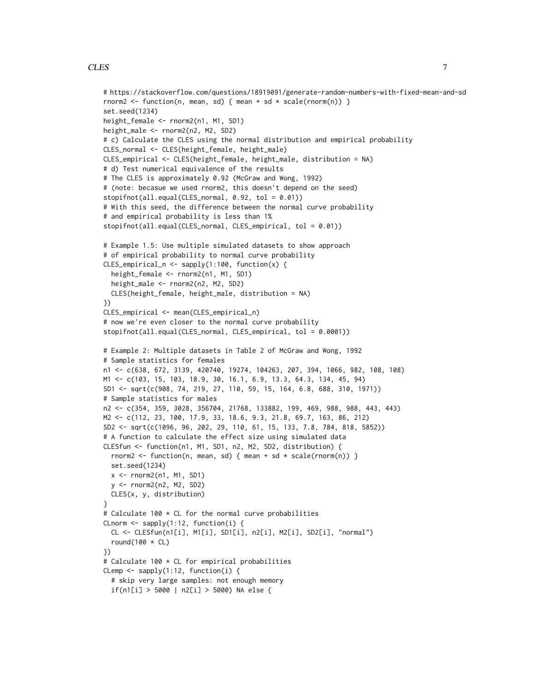# CLES 7

})

set.seed(1234)

```
# https://stackoverflow.com/questions/18919091/generate-random-numbers-with-fixed-mean-and-sd
rnorm2 <- function(n, mean, sd) { mean + sd * scale(rnorm(n)) }
height_female <- rnorm2(n1, M1, SD1)
height_male <- rnorm2(n2, M2, SD2)
# c) Calculate the CLES using the normal distribution and empirical probability
CLES_normal <- CLES(height_female, height_male)
CLES_empirical <- CLES(height_female, height_male, distribution = NA)
# d) Test numerical equivalence of the results
# The CLES is approximately 0.92 (McGraw and Wong, 1992)
# (note: becasue we used rnorm2, this doesn't depend on the seed)
stopifnot(all.equal(CLES_normal, 0.92, tol = 0.01))
# With this seed, the difference between the normal curve probability
# and empirical probability is less than 1%
stopifnot(all.equal(CLES_normal, CLES_empirical, tol = 0.01))
# Example 1.5: Use multiple simulated datasets to show approach
# of empirical probability to normal curve probability
CLES_empirical_n <- sapply(1:100, function(x) {
 height_female <- rnorm2(n1, M1, SD1)
 height_male <- rnorm2(n2, M2, SD2)
 CLES(height_female, height_male, distribution = NA)
CLES_empirical <- mean(CLES_empirical_n)
# now we're even closer to the normal curve probability
```

```
stopifnot(all.equal(CLES_normal, CLES_empirical, tol = 0.0001))
# Example 2: Multiple datasets in Table 2 of McGraw and Wong, 1992
# Sample statistics for females
n1 <- c(638, 672, 3139, 420740, 19274, 104263, 207, 394, 1066, 982, 108, 108)
M1 <- c(103, 15, 103, 18.9, 30, 16.1, 6.9, 13.3, 64.3, 134, 45, 94)
SD1 <- sqrt(c(908, 74, 219, 27, 110, 59, 15, 164, 6.8, 688, 310, 1971))
# Sample statistics for males
n2 <- c(354, 359, 3028, 356704, 21768, 133882, 199, 469, 988, 988, 443, 443)
M2 <- c(112, 23, 100, 17.9, 33, 18.6, 9.3, 21.8, 69.7, 163, 86, 212)
SD2 <- sqrt(c(1096, 96, 202, 29, 110, 61, 15, 133, 7.8, 784, 818, 5852))
# A function to calculate the effect size using simulated data
CLESfun <- function(n1, M1, SD1, n2, M2, SD2, distribution) {
  rnorm2 <- function(n, mean, sd) { mean + sd * scale(rnorm(n)) }
  set.seed(1234)
  x \le - rnorm2(n1, M1, SD1)
  y <- rnorm2(n2, M2, SD2)
  CLES(x, y, distribution)
}
# Calculate 100 * CL for the normal curve probabilities
CLnorm \leq sapply(1:12, function(i) {
  CL <- CLESfun(n1[i], M1[i], SD1[i], n2[i], M2[i], SD2[i], "normal")
  round(100 * CL)
})
# Calculate 100 * CL for empirical probabilities
CLemp \leq sapply(1:12, function(i) {
  # skip very large samples: not enough memory
  if(n1[i] > 5000 | n2[i] > 5000) NA else {
```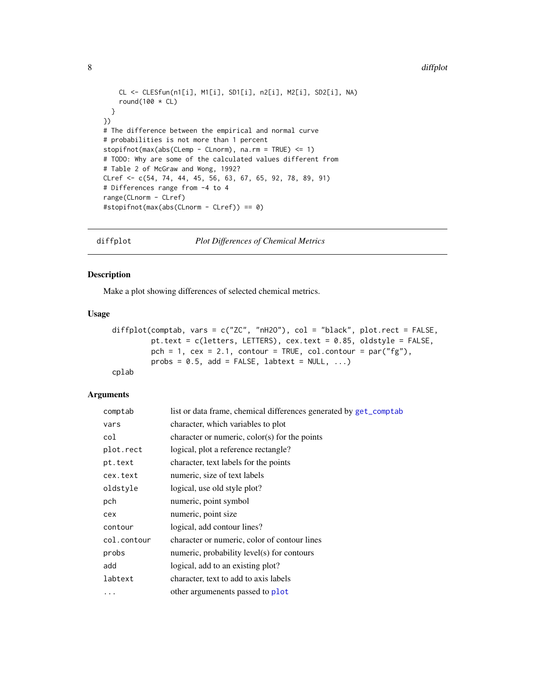#### <span id="page-7-0"></span>8 diffplot

```
CL <- CLESfun(n1[i], M1[i], SD1[i], n2[i], M2[i], SD2[i], NA)
    round(100 * CL)
  }
})
# The difference between the empirical and normal curve
# probabilities is not more than 1 percent
stopifnot(max(abs(CLemp - CLnorm), na.rm = TRUE) <= 1)
# TODO: Why are some of the calculated values different from
# Table 2 of McGraw and Wong, 1992?
CLref <- c(54, 74, 44, 45, 56, 63, 67, 65, 92, 78, 89, 91)
# Differences range from -4 to 4
range(CLnorm - CLref)
#stopifnot(max(abs(CLnorm - CLref)) == 0)
```
<span id="page-7-1"></span>diffplot *Plot Differences of Chemical Metrics*

# Description

Make a plot showing differences of selected chemical metrics.

#### Usage

```
diffplot(comptab, vars = c("ZC", "nH2O"), col = "black", plot.rect = FALSE,
        pt.text = c(letters, LETTERS), cex.text = 0.85, oldstyle = FALSE,
        pch = 1, cex = 2.1, contour = TRUE, col.contour = par("fg"),
        probs = 0.5, add = FALSE, labtext = NULL, ...)
cplab
```
# Arguments

| list or data frame, chemical differences generated by get_comptab |
|-------------------------------------------------------------------|
| character, which variables to plot                                |
| character or numeric, $color(s)$ for the points                   |
| logical, plot a reference rectangle?                              |
| character, text labels for the points                             |
| numeric, size of text labels                                      |
| logical, use old style plot?                                      |
| numeric, point symbol                                             |
| numeric, point size                                               |
| logical, add contour lines?                                       |
| character or numeric, color of contour lines                      |
| numeric, probability level(s) for contours                        |
| logical, add to an existing plot?                                 |
| character, text to add to axis labels                             |
| other argumenents passed to plot                                  |
|                                                                   |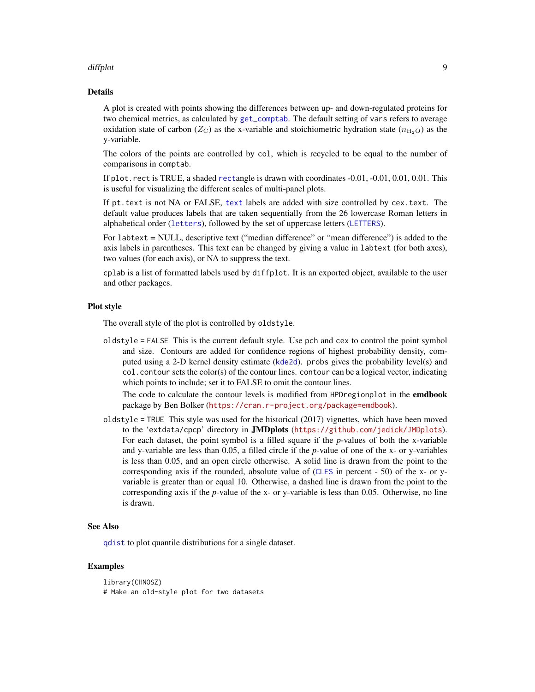#### <span id="page-8-0"></span>diffplot that the contract of the contract of the contract of the contract of the contract of the contract of the contract of the contract of the contract of the contract of the contract of the contract of the contract of

#### Details

A plot is created with points showing the differences between up- and down-regulated proteins for two chemical metrics, as calculated by [get\\_comptab](#page-9-1). The default setting of vars refers to average oxidation state of carbon ( $Z_{\rm C}$ ) as the x-variable and stoichiometric hydration state ( $n_{\rm H_2O}$ ) as the y-variable.

The colors of the points are controlled by col, which is recycled to be equal to the number of comparisons in comptab.

If plot.rect is TRUE, a shaded [rect](#page-0-0)angle is drawn with coordinates -0.01, -0.01, 0.01, 0.01. This is useful for visualizing the different scales of multi-panel plots.

If pt.text is not NA or FALSE, [text](#page-0-0) labels are added with size controlled by cex.text. The default value produces labels that are taken sequentially from the 26 lowercase Roman letters in alphabetical order ([letters](#page-0-0)), followed by the set of uppercase letters ([LETTERS](#page-0-0)).

For labtext = NULL, descriptive text ("median difference" or "mean difference") is added to the axis labels in parentheses. This text can be changed by giving a value in labtext (for both axes), two values (for each axis), or NA to suppress the text.

cplab is a list of formatted labels used by diffplot. It is an exported object, available to the user and other packages.

# Plot style

The overall style of the plot is controlled by oldstyle.

oldstyle = FALSE This is the current default style. Use pch and cex to control the point symbol and size. Contours are added for confidence regions of highest probability density, computed using a 2-D kernel density estimate ([kde2d](#page-0-0)). probs gives the probability level(s) and col.contour sets the color(s) of the contour lines. contour can be a logical vector, indicating which points to include; set it to FALSE to omit the contour lines.

The code to calculate the contour levels is modified from HPDregionplot in the emdbook package by Ben Bolker (<https://cran.r-project.org/package=emdbook>).

 $oldstyle$  = TRUE This style was used for the historical (2017) vignettes, which have been moved to the 'extdata/cpcp' directory in JMDplots (<https://github.com/jedick/JMDplots>). For each dataset, the point symbol is a filled square if the *p*-values of both the x-variable and y-variable are less than 0.05, a filled circle if the *p*-value of one of the x- or y-variables is less than 0.05, and an open circle otherwise. A solid line is drawn from the point to the corresponding axis if the rounded, absolute value of ([CLES](#page-4-1) in percent - 50) of the x- or yvariable is greater than or equal 10. Otherwise, a dashed line is drawn from the point to the corresponding axis if the *p*-value of the x- or y-variable is less than 0.05. Otherwise, no line is drawn.

#### See Also

[qdist](#page-18-1) to plot quantile distributions for a single dataset.

# Examples

```
library(CHNOSZ)
# Make an old-style plot for two datasets
```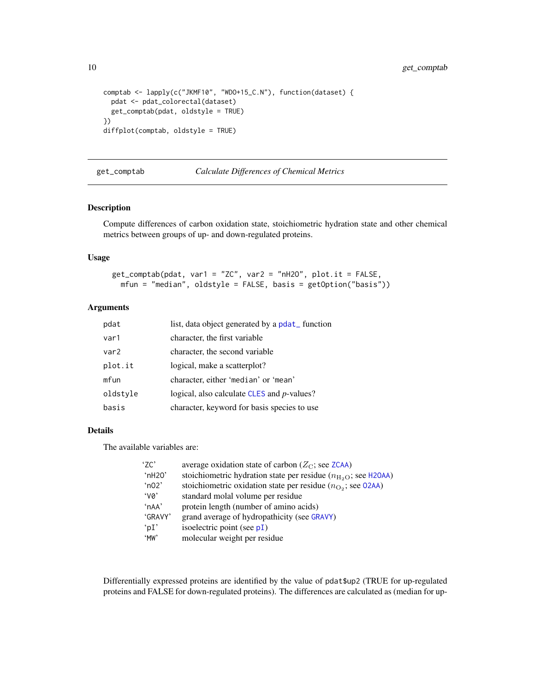```
comptab <- lapply(c("JKMF10", "WDO+15_C.N"), function(dataset) {
  pdat <- pdat_colorectal(dataset)
  get_comptab(pdat, oldstyle = TRUE)
})
diffplot(comptab, oldstyle = TRUE)
```
<span id="page-9-1"></span>get\_comptab *Calculate Differences of Chemical Metrics*

# Description

Compute differences of carbon oxidation state, stoichiometric hydration state and other chemical metrics between groups of up- and down-regulated proteins.

#### Usage

```
get_comptab(pdat, var1 = "ZC", var2 = "nH2O", plot.it = FALSE,
 mfun = "median", oldstyle = FALSE, basis = getOption("basis"))
```
# Arguments

| pdat     | list, data object generated by a polat_function    |
|----------|----------------------------------------------------|
| var1     | character, the first variable                      |
| var2     | character, the second variable                     |
| plot.it  | logical, make a scatterplot?                       |
| mfun     | character, either 'median' or 'mean'               |
| oldstyle | logical, also calculate CLES and <i>p</i> -values? |
| basis    | character, keyword for basis species to use        |

#### Details

The available variables are:

| '7C'            | average oxidation state of carbon ( $Z_{\rm C}$ ; see ZCAA)                        |
|-----------------|------------------------------------------------------------------------------------|
| 'nH20'          | stoichiometric hydration state per residue ( $n_{\text{H}_2\text{O}}$ ; see H20AA) |
| $^{\circ}$ n02' | stoichiometric oxidation state per residue $(n_{\text{O}_2})$ ; see 02AA)          |
| $\gamma_{0}$    | standard molal volume per residue                                                  |
| 'nAA'           | protein length (number of amino acids)                                             |
| 'GRAVY'         | grand average of hydropathicity (see GRAVY)                                        |
| 'pI'            | isoelectric point (see $pI$ )                                                      |
| 'MW             | molecular weight per residue                                                       |

Differentially expressed proteins are identified by the value of pdat\$up2 (TRUE for up-regulated proteins and FALSE for down-regulated proteins). The differences are calculated as (median for up-

<span id="page-9-0"></span>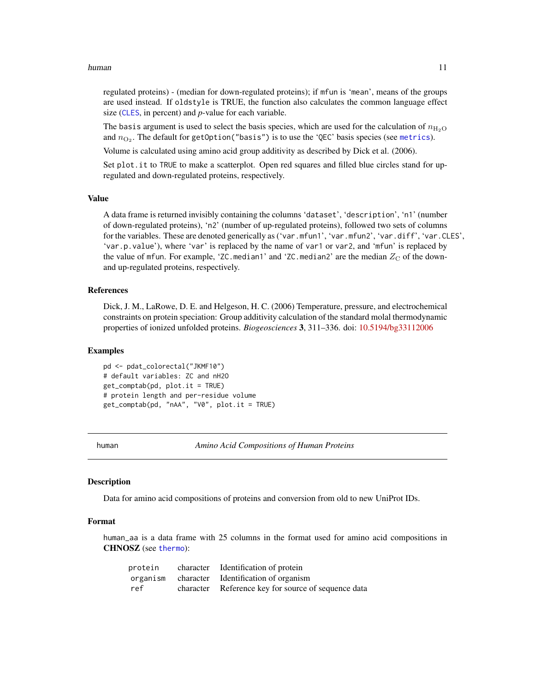#### <span id="page-10-0"></span>human that is a state of the contract of the contract of the contract of the contract of the contract of the contract of the contract of the contract of the contract of the contract of the contract of the contract of the c

regulated proteins) - (median for down-regulated proteins); if mfun is 'mean', means of the groups are used instead. If oldstyle is TRUE, the function also calculates the common language effect size ([CLES](#page-4-1), in percent) and *p*-value for each variable.

The basis argument is used to select the basis species, which are used for the calculation of  $n_{\text{H}_2\text{O}}$ and  $n_{\mathrm{O}_2}$ . The default for getOption("basis") is to use the 'QEC' basis species (see [metrics](#page-12-2)).

Volume is calculated using amino acid group additivity as described by Dick et al. (2006).

Set plot.it to TRUE to make a scatterplot. Open red squares and filled blue circles stand for upregulated and down-regulated proteins, respectively.

#### Value

A data frame is returned invisibly containing the columns 'dataset', 'description', 'n1' (number of down-regulated proteins), 'n2' (number of up-regulated proteins), followed two sets of columns for the variables. These are denoted generically as ('var.mfun1', 'var.mfun2', 'var.diff', 'var.CLES', 'var.p.value'), where 'var' is replaced by the name of var1 or var2, and 'mfun' is replaced by the value of mfun. For example, 'ZC.median1' and 'ZC.median2' are the median  $Z_{\rm C}$  of the downand up-regulated proteins, respectively.

#### References

Dick, J. M., LaRowe, D. E. and Helgeson, H. C. (2006) Temperature, pressure, and electrochemical constraints on protein speciation: Group additivity calculation of the standard molal thermodynamic properties of ionized unfolded proteins. *Biogeosciences* 3, 311–336. doi: [10.5194/bg33112006](https://doi.org/10.5194/bg-3-311-2006)

#### Examples

pd <- pdat\_colorectal("JKMF10") # default variables: ZC and nH2O get\_comptab(pd, plot.it = TRUE) # protein length and per-residue volume get\_comptab(pd, "nAA", "V0", plot.it = TRUE)

<span id="page-10-2"></span>human *Amino Acid Compositions of Human Proteins*

#### <span id="page-10-1"></span>**Description**

Data for amino acid compositions of proteins and conversion from old to new UniProt IDs.

#### Format

human\_aa is a data frame with 25 columns in the format used for amino acid compositions in CHNOSZ (see [thermo](#page-0-0)):

|     | protein character Identification of protein         |
|-----|-----------------------------------------------------|
|     | organism character Identification of organism       |
| ref | character Reference key for source of sequence data |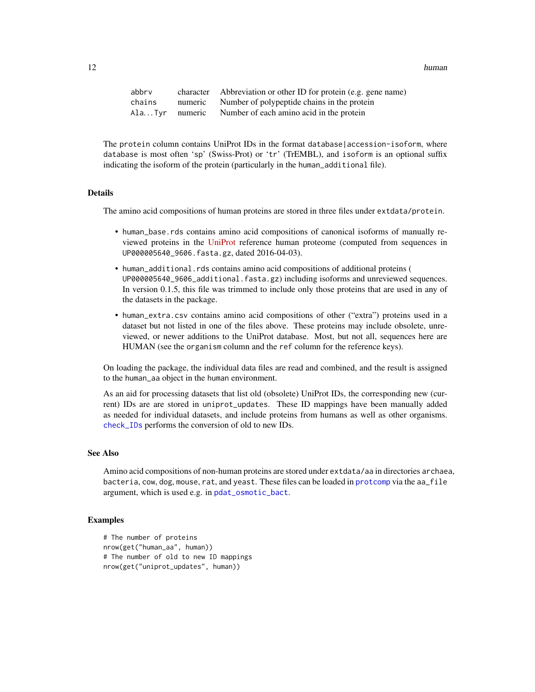<span id="page-11-0"></span>12 human human human human human human human human human human human human human human human human human human

| abbrv  | character Abbreviation or other ID for protein (e.g. gene name) |
|--------|-----------------------------------------------------------------|
| chains | numeric Number of polypeptide chains in the protein             |
|        | Ala Tyr numeric Number of each amino acid in the protein        |

The protein column contains UniProt IDs in the format database accession-isoform, where database is most often 'sp' (Swiss-Prot) or 'tr' (TrEMBL), and isoform is an optional suffix indicating the isoform of the protein (particularly in the human\_additional file).

### Details

The amino acid compositions of human proteins are stored in three files under extdata/protein.

- human\_base.rds contains amino acid compositions of canonical isoforms of manually reviewed proteins in the [UniProt](https://www.uniprot.org/) reference human proteome (computed from sequences in UP000005640\_9606.fasta.gz, dated 2016-04-03).
- human\_additional.rds contains amino acid compositions of additional proteins ( UP000005640\_9606\_additional.fasta.gz) including isoforms and unreviewed sequences. In version 0.1.5, this file was trimmed to include only those proteins that are used in any of the datasets in the package.
- human\_extra.csv contains amino acid compositions of other ("extra") proteins used in a dataset but not listed in one of the files above. These proteins may include obsolete, unreviewed, or newer additions to the UniProt database. Most, but not all, sequences here are HUMAN (see the organism column and the ref column for the reference keys).

On loading the package, the individual data files are read and combined, and the result is assigned to the human\_aa object in the human environment.

As an aid for processing datasets that list old (obsolete) UniProt IDs, the corresponding new (current) IDs are are stored in uniprot\_updates. These ID mappings have been manually added as needed for individual datasets, and include proteins from humans as well as other organisms. [check\\_IDs](#page-2-1) performs the conversion of old to new IDs.

#### See Also

Amino acid compositions of non-human proteins are stored under extdata/aa in directories archaea, bacteria, cow, dog, mouse, rat, and yeast. These files can be loaded in [protcomp](#page-17-1) via the aa\_file argument, which is used e.g. in [pdat\\_osmotic\\_bact](#page-16-2).

# Examples

```
# The number of proteins
nrow(get("human_aa", human))
# The number of old to new ID mappings
nrow(get("uniprot_updates", human))
```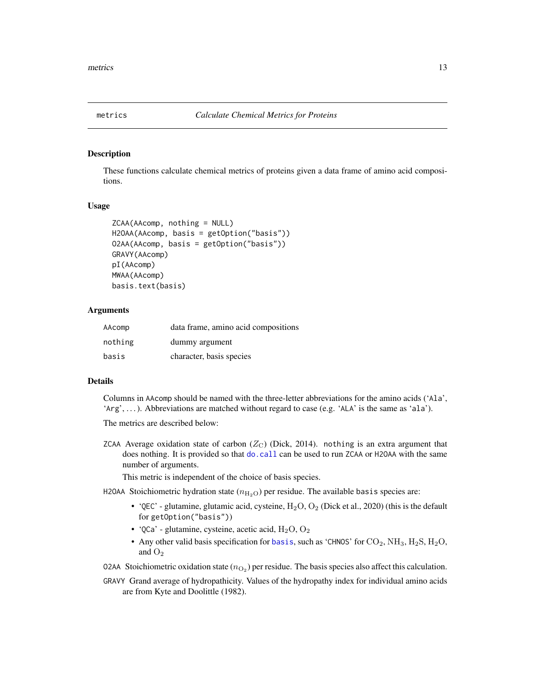<span id="page-12-2"></span><span id="page-12-0"></span>

# <span id="page-12-1"></span>Description

These functions calculate chemical metrics of proteins given a data frame of amino acid compositions.

# Usage

```
ZCAA(AAcomp, nothing = NULL)
H2OAA(AAcomp, basis = getOption("basis"))
O2AA(AAcomp, basis = getOption("basis"))
GRAVY(AAcomp)
pI(AAcomp)
MWAA(AAcomp)
basis.text(basis)
```
#### Arguments

| AAcomp  | data frame, amino acid compositions |
|---------|-------------------------------------|
| nothing | dummy argument                      |
| basis   | character, basis species            |

#### Details

Columns in AAcomp should be named with the three-letter abbreviations for the amino acids ('Ala', 'Arg', . . . ). Abbreviations are matched without regard to case (e.g. 'ALA' is the same as 'ala').

The metrics are described below:

ZCAA Average oxidation state of carbon  $(Z_C)$  (Dick, 2014). nothing is an extra argument that does nothing. It is provided so that [do.call](#page-0-0) can be used to run ZCAA or H2OAA with the same number of arguments.

This metric is independent of the choice of basis species.

H2OAA Stoichiometric hydration state  $(n_{\text{H}_2\text{O}})$  per residue. The available basis species are:

- 'QEC' glutamine, glutamic acid, cysteine,  $H_2O$ ,  $O_2$  (Dick et al., 2020) (this is the default for getOption("basis"))
- 'QCa' glutamine, cysteine, acetic acid,  $H_2O$ ,  $O_2$
- Any other valid [basis](#page-0-0) specification for basis, such as 'CHNOS' for  $CO_2$ , NH<sub>3</sub>, H<sub>2</sub>S, H<sub>2</sub>O, and  $O<sub>2</sub>$

02AA Stoichiometric oxidation state  $(n_{\text{O}_2})$  per residue. The basis species also affect this calculation.

GRAVY Grand average of hydropathicity. Values of the hydropathy index for individual amino acids are from Kyte and Doolittle (1982).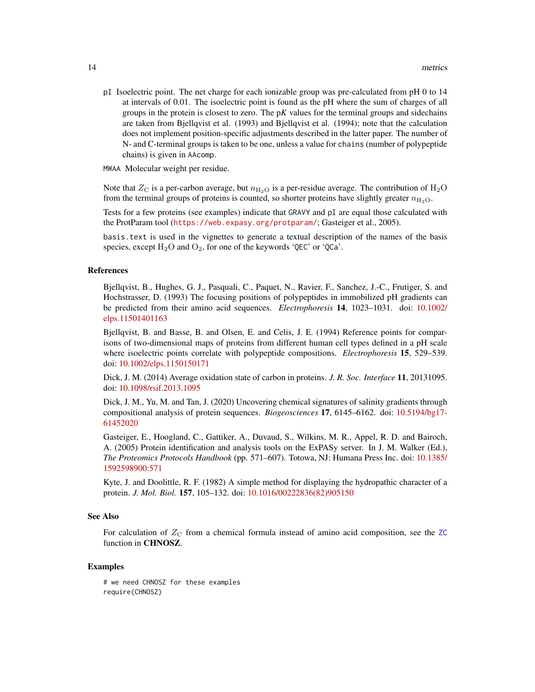<span id="page-13-0"></span>pI Isoelectric point. The net charge for each ionizable group was pre-calculated from pH 0 to 14 at intervals of 0.01. The isoelectric point is found as the pH where the sum of charges of all groups in the protein is closest to zero. The p*K* values for the terminal groups and sidechains are taken from Bjellqvist et al. (1993) and Bjellqvist et al. (1994); note that the calculation does not implement position-specific adjustments described in the latter paper. The number of N- and C-terminal groups is taken to be one, unless a value for chains (number of polypeptide chains) is given in AAcomp.

MWAA Molecular weight per residue.

Note that  $Z_{\rm C}$  is a per-carbon average, but  $n_{\rm H_2O}$  is a per-residue average. The contribution of H<sub>2</sub>O from the terminal groups of proteins is counted, so shorter proteins have slightly greater  $n_{\text{H}_2\text{O}}$ .

Tests for a few proteins (see examples) indicate that GRAVY and pI are equal those calculated with the ProtParam tool (<https://web.expasy.org/protparam/>; Gasteiger et al., 2005).

basis.text is used in the vignettes to generate a textual description of the names of the basis species, except  $H_2O$  and  $O_2$ , for one of the keywords 'QEC' or 'QCa'.

#### References

Bjellqvist, B., Hughes, G. J., Pasquali, C., Paquet, N., Ravier, F., Sanchez, J.-C., Frutiger, S. and Hochstrasser, D. (1993) The focusing positions of polypeptides in immobilized pH gradients can be predicted from their amino acid sequences. *Electrophoresis* 14, 1023–1031. doi: [10.1002/](https://doi.org/10.1002/elps.11501401163) [elps.11501401163](https://doi.org/10.1002/elps.11501401163)

Bjellqvist, B. and Basse, B. and Olsen, E. and Celis, J. E. (1994) Reference points for comparisons of two-dimensional maps of proteins from different human cell types defined in a pH scale where isoelectric points correlate with polypeptide compositions. *Electrophoresis* 15, 529–539. doi: [10.1002/elps.1150150171](https://doi.org/10.1002/elps.1150150171)

Dick, J. M. (2014) Average oxidation state of carbon in proteins. *J. R. Soc. Interface* 11, 20131095. doi: [10.1098/rsif.2013.1095](https://doi.org/10.1098/rsif.2013.1095)

Dick, J. M., Yu, M. and Tan, J. (2020) Uncovering chemical signatures of salinity gradients through compositional analysis of protein sequences. *Biogeosciences* 17, 6145–6162. doi: [10.5194/bg17-](https://doi.org/10.5194/bg-17-6145-2020) [61452020](https://doi.org/10.5194/bg-17-6145-2020)

Gasteiger, E., Hoogland, C., Gattiker, A., Duvaud, S., Wilkins, M. R., Appel, R. D. and Bairoch, A. (2005) Protein identification and analysis tools on the ExPASy server. In J. M. Walker (Ed.), *The Proteomics Protocols Handbook* (pp. 571–607). Totowa, NJ: Humana Press Inc. doi: [10.1385/](https://doi.org/10.1385/1-59259-890-0:571) [1592598900:571](https://doi.org/10.1385/1-59259-890-0:571)

Kyte, J. and Doolittle, R. F. (1982) A simple method for displaying the hydropathic character of a protein. *J. Mol. Biol.* 157, 105–132. doi: [10.1016/00222836\(82\)905150](https://doi.org/10.1016/0022-2836(82)90515-0)

#### See Also

For calculation of  $Z_{\rm C}$  from a chemical formula instead of amino acid composition, see the [ZC](#page-0-0) function in CHNOSZ.

#### Examples

# we need CHNOSZ for these examples require(CHNOSZ)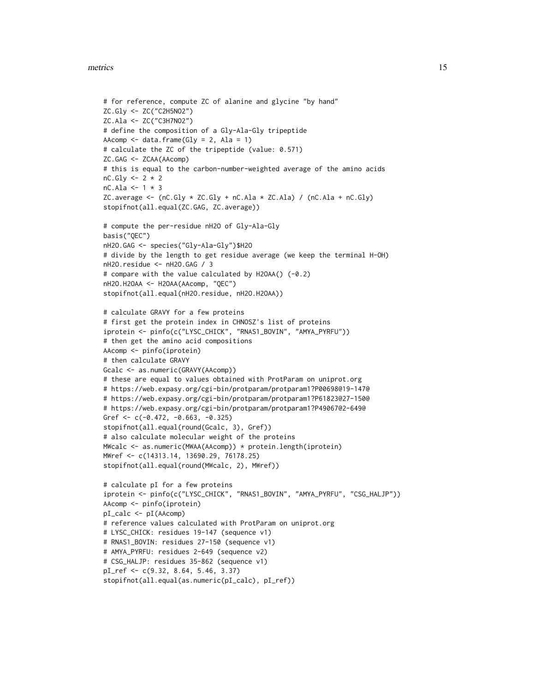#### metrics 15

```
# for reference, compute ZC of alanine and glycine "by hand"
ZC.Gly <- ZC("C2H5NO2")
ZC.Ala <- ZC("C3H7NO2")
# define the composition of a Gly-Ala-Gly tripeptide
AAcomp \leq data.frame(Gly = 2, Ala = 1)
# calculate the ZC of the tripeptide (value: 0.571)
ZC.GAG <- ZCAA(AAcomp)
# this is equal to the carbon-number-weighted average of the amino acids
nC.Gly \leftarrow 2 * 2nC.Ala \leftarrow 1 * 3ZC.average <- (nC.Gly * ZC.Gly + nC.Ala * ZC.Ala) / (nC.Ala + nC.Gly)stopifnot(all.equal(ZC.GAG, ZC.average))
# compute the per-residue nH2O of Gly-Ala-Gly
basis("QEC")
nH2O.GAG <- species("Gly-Ala-Gly")$H2O
# divide by the length to get residue average (we keep the terminal H-OH)
nH2O.residue <- nH2O.GAG / 3
# compare with the value calculated by H2OAA() (-0.2)
nH2O.H2OAA <- H2OAA(AAcomp, "QEC")
stopifnot(all.equal(nH2O.residue, nH2O.H2OAA))
# calculate GRAVY for a few proteins
# first get the protein index in CHNOSZ's list of proteins
iprotein <- pinfo(c("LYSC_CHICK", "RNAS1_BOVIN", "AMYA_PYRFU"))
# then get the amino acid compositions
AAcomp <- pinfo(iprotein)
# then calculate GRAVY
Gcalc <- as.numeric(GRAVY(AAcomp))
# these are equal to values obtained with ProtParam on uniprot.org
# https://web.expasy.org/cgi-bin/protparam/protparam1?P00698@19-147@
# https://web.expasy.org/cgi-bin/protparam/protparam1?P61823@27-150@
# https://web.expasy.org/cgi-bin/protparam/protparam1?P49067@2-649@
Gref <- c(-0.472, -0.663, -0.325)
stopifnot(all.equal(round(Gcalc, 3), Gref))
# also calculate molecular weight of the proteins
MWcalc <- as.numeric(MWAA(AAcomp)) * protein.length(iprotein)
MWref <- c(14313.14, 13690.29, 76178.25)
stopifnot(all.equal(round(MWcalc, 2), MWref))
# calculate pI for a few proteins
iprotein <- pinfo(c("LYSC_CHICK", "RNAS1_BOVIN", "AMYA_PYRFU", "CSG_HALJP"))
AAcomp <- pinfo(iprotein)
pI_calc <- pI(AAcomp)
# reference values calculated with ProtParam on uniprot.org
# LYSC_CHICK: residues 19-147 (sequence v1)
# RNAS1_BOVIN: residues 27-150 (sequence v1)
# AMYA_PYRFU: residues 2-649 (sequence v2)
# CSG_HALJP: residues 35-862 (sequence v1)
pI_ref <- c(9.32, 8.64, 5.46, 3.37)
stopifnot(all.equal(as.numeric(pI_calc), pI_ref))
```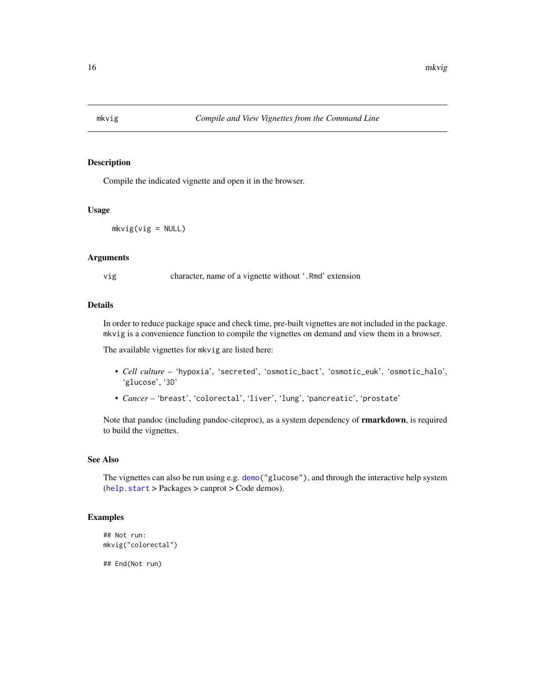<span id="page-15-1"></span><span id="page-15-0"></span>

# Description

Compile the indicated vignette and open it in the browser.

#### Usage

 $mkvig(vig = NULL)$ 

#### Arguments

vig character, name of a vignette without '.Rmd' extension

### Details

In order to reduce package space and check time, pre-built vignettes are not included in the package. mkvig is a convenience function to compile the vignettes on demand and view them in a browser.

The available vignettes for mkvig are listed here:

- *Cell culture* 'hypoxia', 'secreted', 'osmotic\_bact', 'osmotic\_euk', 'osmotic\_halo', 'glucose', '3D'
- *Cancer* 'breast', 'colorectal', 'liver', 'lung', 'pancreatic', 'prostate'

Note that pandoc (including pandoc-citeproc), as a system dependency of **rmarkdown**, is required to build the vignettes.

#### See Also

The vignettes can also be run using e.g. [demo\(](#page-0-0)"glucose"), and through the interactive help system ([help.start](#page-0-0) > Packages > canprot > Code demos).

# Examples

```
## Not run:
mkvig("colorectal")
```
## End(Not run)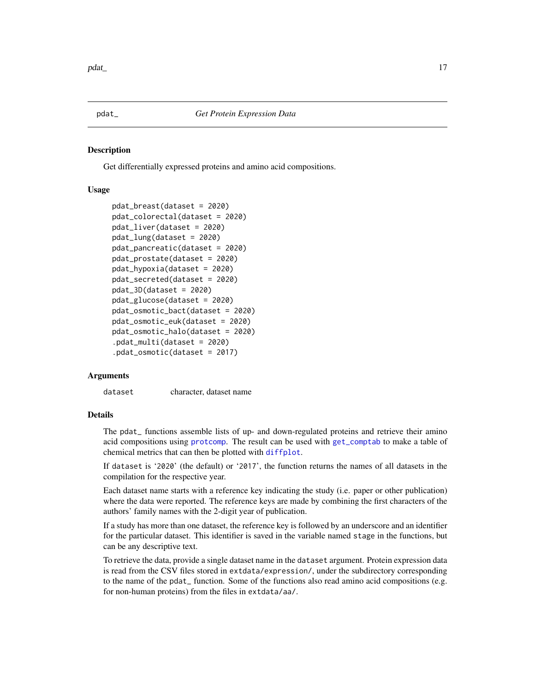<span id="page-16-1"></span><span id="page-16-0"></span>

#### <span id="page-16-2"></span>Description

Get differentially expressed proteins and amino acid compositions.

# Usage

```
pdat_breast(dataset = 2020)
pdat_colorectal(dataset = 2020)
pdat_liver(dataset = 2020)
pdat_lung(dataset = 2020)
pdat_pancreatic(dataset = 2020)
pdat_prostate(dataset = 2020)
pdat_hypoxia(dataset = 2020)
pdat_secreted(dataset = 2020)
pdat_3D(dataset = 2020)pdat_glucose(dataset = 2020)
pdat_osmotic_bact(dataset = 2020)
pdat_osmotic_euk(dataset = 2020)
pdat_osmotic_halo(dataset = 2020)
.pdat_multi(dataset = 2020)
.pdat_osmotic(dataset = 2017)
```
# Arguments

dataset character, dataset name

#### Details

The pdat\_ functions assemble lists of up- and down-regulated proteins and retrieve their amino acid compositions using [protcomp](#page-17-1). The result can be used with [get\\_comptab](#page-9-1) to make a table of chemical metrics that can then be plotted with [diffplot](#page-7-1).

If dataset is '2020' (the default) or '2017', the function returns the names of all datasets in the compilation for the respective year.

Each dataset name starts with a reference key indicating the study (i.e. paper or other publication) where the data were reported. The reference keys are made by combining the first characters of the authors' family names with the 2-digit year of publication.

If a study has more than one dataset, the reference key is followed by an underscore and an identifier for the particular dataset. This identifier is saved in the variable named stage in the functions, but can be any descriptive text.

To retrieve the data, provide a single dataset name in the dataset argument. Protein expression data is read from the CSV files stored in extdata/expression/, under the subdirectory corresponding to the name of the pdat\_ function. Some of the functions also read amino acid compositions (e.g. for non-human proteins) from the files in extdata/aa/.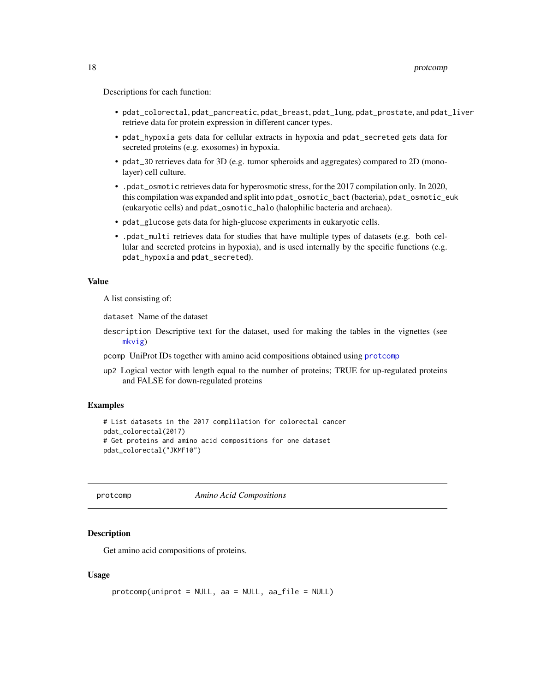<span id="page-17-0"></span>Descriptions for each function:

- pdat\_colorectal, pdat\_pancreatic, pdat\_breast, pdat\_lung, pdat\_prostate, and pdat\_liver retrieve data for protein expression in different cancer types.
- pdat\_hypoxia gets data for cellular extracts in hypoxia and pdat\_secreted gets data for secreted proteins (e.g. exosomes) in hypoxia.
- pdat\_3D retrieves data for 3D (e.g. tumor spheroids and aggregates) compared to 2D (monolayer) cell culture.
- .pdat\_osmotic retrieves data for hyperosmotic stress, for the 2017 compilation only. In 2020, this compilation was expanded and split into pdat\_osmotic\_bact (bacteria), pdat\_osmotic\_euk (eukaryotic cells) and pdat\_osmotic\_halo (halophilic bacteria and archaea).
- pdat\_glucose gets data for high-glucose experiments in eukaryotic cells.
- .pdat\_multi retrieves data for studies that have multiple types of datasets (e.g. both cellular and secreted proteins in hypoxia), and is used internally by the specific functions (e.g. pdat\_hypoxia and pdat\_secreted).

#### Value

A list consisting of:

dataset Name of the dataset

- description Descriptive text for the dataset, used for making the tables in the vignettes (see [mkvig](#page-15-1))
- pcomp UniProt IDs together with amino acid compositions obtained using [protcomp](#page-17-1)
- up2 Logical vector with length equal to the number of proteins; TRUE for up-regulated proteins and FALSE for down-regulated proteins

#### Examples

```
# List datasets in the 2017 complilation for colorectal cancer
pdat_colorectal(2017)
# Get proteins and amino acid compositions for one dataset
pdat_colorectal("JKMF10")
```
<span id="page-17-1"></span>

protcomp *Amino Acid Compositions*

#### Description

Get amino acid compositions of proteins.

#### Usage

```
protcomp(uniprot = NULL, aa = NULL, aa_file = NULL)
```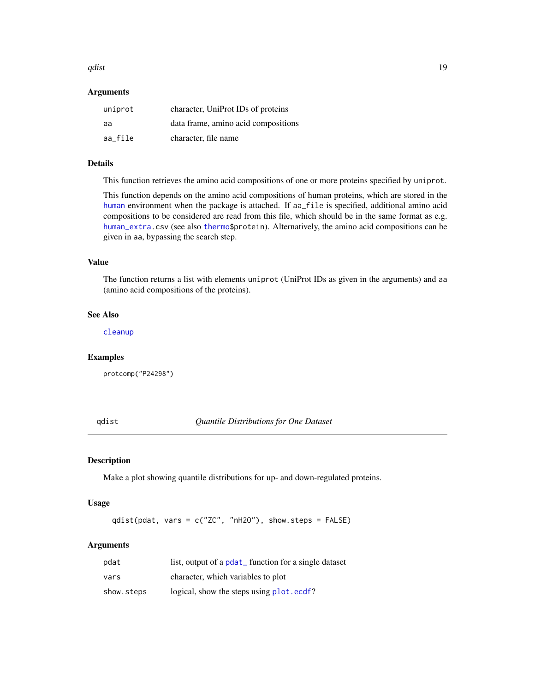#### <span id="page-18-0"></span>qdist the contract of the contract of the contract of the contract of the contract of the contract of the contract of the contract of the contract of the contract of the contract of the contract of the contract of the cont

#### Arguments

| uniprot | character, UniProt IDs of proteins  |
|---------|-------------------------------------|
| aa      | data frame, amino acid compositions |
| aa file | character, file name                |

# Details

This function retrieves the amino acid compositions of one or more proteins specified by uniprot.

This function depends on the amino acid compositions of human proteins, which are stored in the [human](#page-10-2) environment when the package is attached. If aa\_file is specified, additional amino acid compositions to be considered are read from this file, which should be in the same format as e.g. [human\\_extra.](#page-10-1)csv (see also [thermo\\$](#page-0-0)protein). Alternatively, the amino acid compositions can be given in aa, bypassing the search step.

# Value

The function returns a list with elements uniprot (UniProt IDs as given in the arguments) and aa (amino acid compositions of the proteins).

#### See Also

[cleanup](#page-3-1)

#### Examples

protcomp("P24298")

<span id="page-18-1"></span>qdist *Quantile Distributions for One Dataset*

#### Description

Make a plot showing quantile distributions for up- and down-regulated proteins.

#### Usage

qdist(pdat, vars = c("ZC", "nH2O"), show.steps = FALSE)

# Arguments

| pdat       | list, output of a pdat function for a single dataset |
|------------|------------------------------------------------------|
| vars       | character, which variables to plot                   |
| show.steps | logical, show the steps using plot.ecdf?             |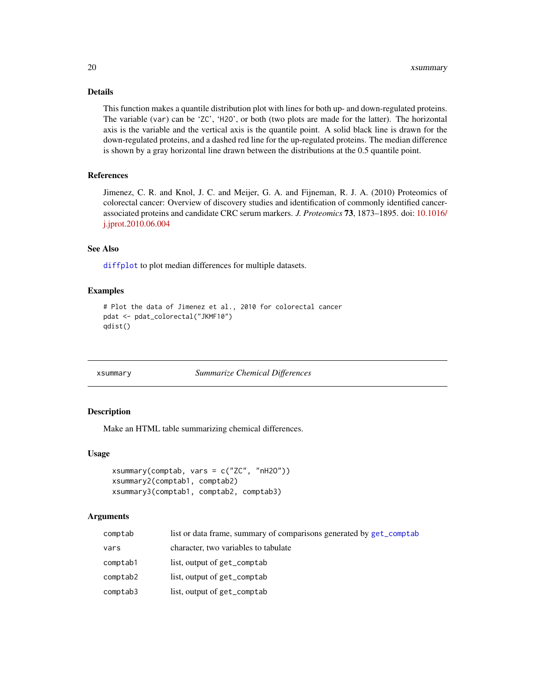# <span id="page-19-0"></span>Details

This function makes a quantile distribution plot with lines for both up- and down-regulated proteins. The variable (var) can be 'ZC', 'H2O', or both (two plots are made for the latter). The horizontal axis is the variable and the vertical axis is the quantile point. A solid black line is drawn for the down-regulated proteins, and a dashed red line for the up-regulated proteins. The median difference is shown by a gray horizontal line drawn between the distributions at the 0.5 quantile point.

# References

Jimenez, C. R. and Knol, J. C. and Meijer, G. A. and Fijneman, R. J. A. (2010) Proteomics of colorectal cancer: Overview of discovery studies and identification of commonly identified cancerassociated proteins and candidate CRC serum markers. *J. Proteomics* 73, 1873–1895. doi: [10.1016/](https://doi.org/10.1016/j.jprot.2010.06.004) [j.jprot.2010.06.004](https://doi.org/10.1016/j.jprot.2010.06.004)

#### See Also

[diffplot](#page-7-1) to plot median differences for multiple datasets.

#### Examples

```
# Plot the data of Jimenez et al., 2010 for colorectal cancer
pdat <- pdat_colorectal("JKMF10")
qdist()
```
#### xsummary *Summarize Chemical Differences*

#### Description

Make an HTML table summarizing chemical differences.

#### Usage

```
xsummary(comptab, vars = c("ZC", "nH2O"))
xsummary2(comptab1, comptab2)
xsummary3(comptab1, comptab2, comptab3)
```
#### **Arguments**

| comptab  | list or data frame, summary of comparisons generated by get_comptab |
|----------|---------------------------------------------------------------------|
| vars     | character, two variables to tabulate                                |
| comptab1 | list, output of get_comptab                                         |
| comptab2 | list, output of get_comptab                                         |
| comptab3 | list, output of get_comptab                                         |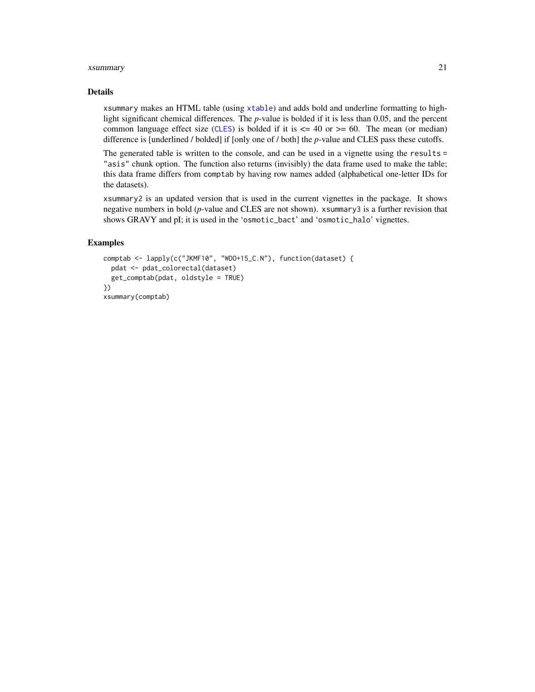#### <span id="page-20-0"></span>xsummary 21

#### Details

xsummary makes an HTML table (using [xtable](#page-0-0)) and adds bold and underline formatting to highlight significant chemical differences. The *p*-value is bolded if it is less than 0.05, and the percent common language effect size ([CLES](#page-4-1)) is bolded if it is  $\leq$  40 or  $\geq$  60. The mean (or median) difference is [underlined / bolded] if [only one of / both] the *p*-value and CLES pass these cutoffs.

The generated table is written to the console, and can be used in a vignette using the results = "asis" chunk option. The function also returns (invisibly) the data frame used to make the table; this data frame differs from comptab by having row names added (alphabetical one-letter IDs for the datasets).

xsummary2 is an updated version that is used in the current vignettes in the package. It shows negative numbers in bold (*p*-value and CLES are not shown). xsummary3 is a further revision that shows GRAVY and pI; it is used in the 'osmotic\_bact' and 'osmotic\_halo' vignettes.

#### Examples

```
comptab <- lapply(c("JKMF10", "WDO+15_C.N"), function(dataset) {
  pdat <- pdat_colorectal(dataset)
  get_comptab(pdat, oldstyle = TRUE)
})
xsummary(comptab)
```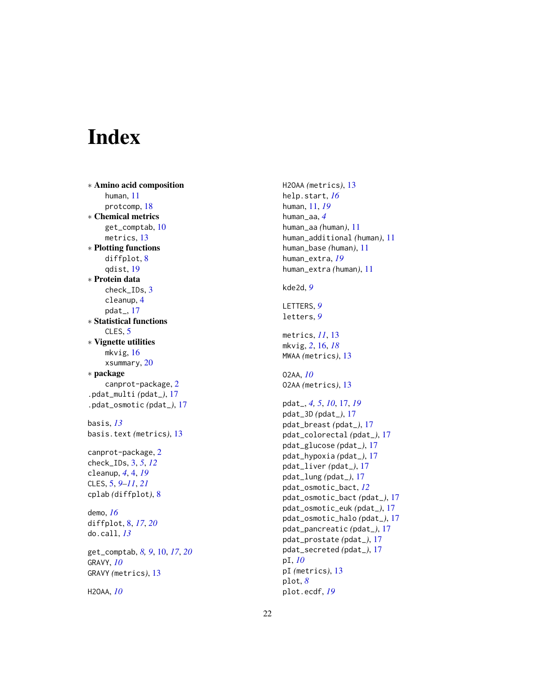# <span id="page-21-0"></span>Index

∗ Amino acid composition human , [11](#page-10-0) protcomp , [18](#page-17-0) ∗ Chemical metrics get\_comptab , [10](#page-9-0) metrics , [13](#page-12-0) ∗ Plotting functions diffplot, [8](#page-7-0) qdist , [19](#page-18-0) ∗ Protein data check\_IDs , [3](#page-2-0) cleanup , [4](#page-3-0) pdat\_ , [17](#page-16-0) ∗ Statistical functions CLES, [5](#page-4-0) ∗ Vignette utilities mkvig , [16](#page-15-0) xsummary , [20](#page-19-0) ∗ package canprot-package , [2](#page-1-0) .pdat\_multi *(*pdat\_ *)* , [17](#page-16-0) .pdat\_osmotic *(*pdat\_ *)* , [17](#page-16-0) basis , *[13](#page-12-0)* basis.text *(*metrics *)* , [13](#page-12-0) canprot-package , [2](#page-1-0) check\_IDs , [3](#page-2-0) , *[5](#page-4-0)* , *[12](#page-11-0)* cleanup , *[4](#page-3-0)* , [4](#page-3-0) , *[19](#page-18-0)* CLES , [5](#page-4-0) , *[9](#page-8-0) [–11](#page-10-0)* , *[21](#page-20-0)* cplab *(*diffplot *)* , [8](#page-7-0) demo , *[16](#page-15-0)* diffplot , [8](#page-7-0) , *[17](#page-16-0)* , *[20](#page-19-0)* do.call , *[13](#page-12-0)* get\_comptab , *[8](#page-7-0) , [9](#page-8-0)* , [10](#page-9-0) , *[17](#page-16-0)* , *[20](#page-19-0)* GRAVY , *[10](#page-9-0)* GRAVY *(*metrics *)* , [13](#page-12-0)

```
H2OAA
, 10
```
H2OAA *(*metrics *)* , [13](#page-12-0) help.start , *[16](#page-15-0)* human , [11](#page-10-0) , *[19](#page-18-0)* human\_aa , *[4](#page-3-0)* human\_aa *(*human *)* , [11](#page-10-0) human\_additional *(*human *)* , [11](#page-10-0) human\_base *(*human *)* , [11](#page-10-0) human\_extra , *[19](#page-18-0)* human\_extra *(*human *)* , [11](#page-10-0) kde2d , *[9](#page-8-0)* LETTERS , *[9](#page-8-0)* letters , *[9](#page-8-0)* metrics , *[11](#page-10-0)* , [13](#page-12-0) mkvig , *[2](#page-1-0)* , [16](#page-15-0) , *[18](#page-17-0)* MWAA *(*metrics *)* , [13](#page-12-0) O2AA , *[10](#page-9-0)* O2AA *(*metrics *)* , [13](#page-12-0) pdat\_ , *[4](#page-3-0) , [5](#page-4-0)* , *[10](#page-9-0)* , [17](#page-16-0) , *[19](#page-18-0)* pdat\_3D *(*pdat\_ *)* , [17](#page-16-0) pdat\_breast *(*pdat\_ *)* , [17](#page-16-0) pdat\_colorectal *(*pdat\_ *)* , [17](#page-16-0) pdat\_glucose *(*pdat\_ *)* , [17](#page-16-0) pdat\_hypoxia *(*pdat\_ *)* , [17](#page-16-0) pdat\_liver *(*pdat\_ *)* , [17](#page-16-0) pdat\_lung *(*pdat\_ *)* , [17](#page-16-0) pdat\_osmotic\_bact , *[12](#page-11-0)* pdat\_osmotic\_bact *(*pdat\_ *)* , [17](#page-16-0) pdat\_osmotic\_euk *(*pdat\_ *)* , [17](#page-16-0) pdat\_osmotic\_halo *(*pdat\_ *)* , [17](#page-16-0) pdat\_pancreatic *(*pdat\_ *)* , [17](#page-16-0) pdat\_prostate *(*pdat\_ *)* , [17](#page-16-0) pdat\_secreted *(*pdat\_ *)* , [17](#page-16-0) pI , *[10](#page-9-0)* pI *(*metrics *)* , [13](#page-12-0) plot , *[8](#page-7-0)* plot.ecdf , *[19](#page-18-0)*